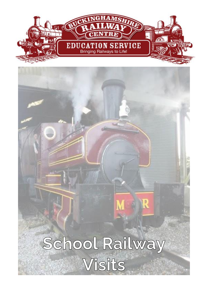

# School Railway Visits

R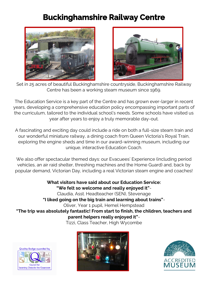## **Buckinghamshire Railway Centre**





Set in 25 acres of beautiful Buckinghamshire countryside, Buckinghamshire Railway Centre has been a working steam museum since 1969.

The Education Service is a key part of the Centre and has grown ever-larger in recent years, developing a comprehensive education policy encompassing important parts of the curriculum, tailored to the individual school's needs. Some schools have visited us year after years to enjoy a truly memorable day-out.

A fascinating and exciting day could include a ride on both a full-size steam train and our wonderful miniature railway, a dining coach from Queen Victoria's Royal Train, exploring the engine sheds and time in our award-winning museum, including our unique, interactive Education Coach.

We also offer spectacular themed days: our Evacuees' Experience (including period vehicles, an air raid shelter, threshing machines and the Home Guard) and, back by popular demand, Victorian Day, including a real Victorian steam engine and coaches!

**What visitors have said about our Education Service: "We felt so welcome and really enjoyed it"**- Claudia, Asst. Headteacher (SEN), Stevenage **"I liked going on the big train and learning about trains"**- Oliver, Year 1 pupil, Hemel Hempstead **"The trip was absolutely fantastic! From start to finish, the children, teachers and parent helpers really enjoyed it"**-

Tizzi, Class Teacher, High Wycombe





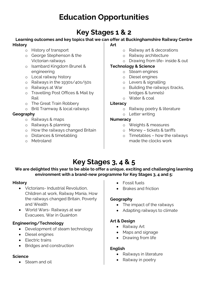# **Education Opportunities**

## **Key Stages 1 & 2**

#### **Learning outcomes and key topics that we can offer at Buckinghamshire Railway Centre History Art**

- o History of transport
- o George Stephenson & the Victorian railways
- o Isambard Kingdom Brunel & engineering
- o Local railway history
- o Railways in the 1930s/40s/50s
- o Railways at War
- o Travelling Post Offices & Mail by Rail
- o The Great Train Robbery
- o Brill Tramway & local railways

#### **Geography**

- o Railways & maps
- o Railways & planning
- o How the railways changed Britain
- o Distances & timetabling
- o Metroland
- o Railway art & decorations
- o Railway architecture
- o Drawing from life- inside & out

#### **Technology & Science**

- o Steam engines
- o Diesel engines
- o Levers & signalling
- o Building the railways (tracks, bridges & tunnels)
- o Water & coal

#### **Literacy**

- o Railway poetry & literature
- o Letter writing

#### **Numeracy**

- o Weights & measures
- o Money tickets & tariffs
- o Timetables how the railways made the clocks work

## **Key Stages 3, 4 & 5**

#### We are delighted this year to be able to offer a unique, exciting and challenging learning **environment with a brand-new programme for Key Stages 3, 4 and 5:**

#### **History**

- Victorians- Industrial Revolution, Children at work, Railway Mania, How the railways changed Britain, Poverty and Wealth
- World Wars- Railways at war Evacuees, War in Quainton

#### **Engineering/Technology**

- Development of steam technology
- Diesel engines
- Electric trains
- Bridges and construction

#### **Science**

• Steam and oil

- Fossil fuels
- Brakes and friction

#### **Geography**

- The impact of the railways
- Adapting railways to climate

#### **Art & Design**

- Railway Art
- Maps and signage
- Drawing from life

#### **English**

- Railways in literature
- Railway in poetry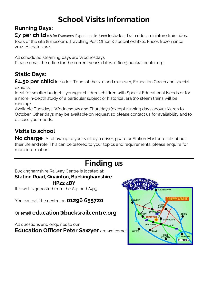# **School Visits Information**

## **Running Days:**

**£7 per child** (£8 for Evacuees' Experience in June) Includes: Train rides, miniature train rides, tours of the site & museum, Travelling Post Office & special exhibits. Prices frozen since 2014. All dates are:

All scheduled steaming days are Wednesdays Please email the office for the current year's dates: office@buckrailcentre.org

### **Static Days:**

**£4.50 per child** Includes: Tours of the site and museum, Education Coach and special exhibits.

Ideal for smaller budgets, younger children, children with Special Educational Needs or for a more in-depth study of a particular subject or historical era (no steam trains will be running).

Available Tuesdays, Wednesdays and Thursdays (except running days above) March to October. Other days may be available on request so please contact us for availability and to discuss your needs.

## **Visits to school**

**No charge**- A follow-up to your visit by a driver, guard or Station Master to talk about their life and role. This can be tailored to your topics and requirements, please enquire for more information.

## **Finding us**

Buckinghamshire Railway Centre is located at: **Station Road, Quainton, Buckinghamshire**

**HP22 4BY**

It is well signposted from the A41 and A413.

You can call the centre on **01296 655720** 

Or email **education@bucksrailcentre.org**

All questions and enquiries to our

**Education Officer Peter Sawyer** are welcome!